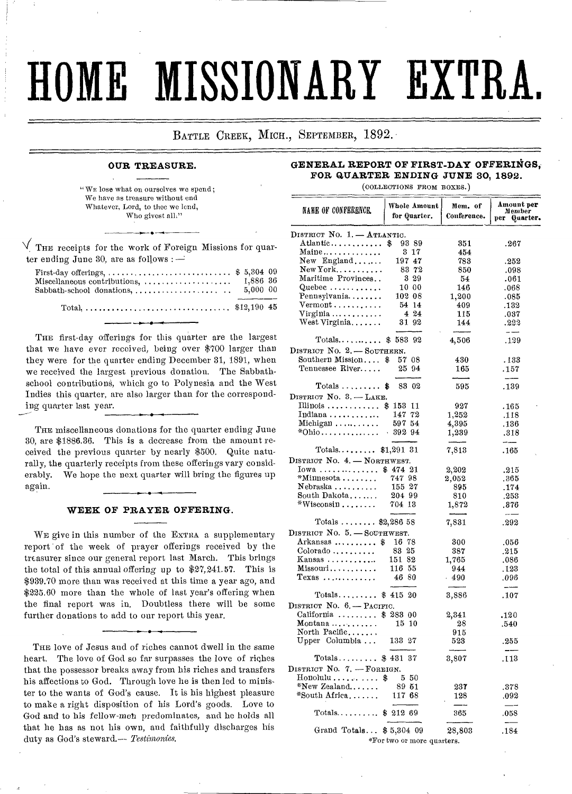# **HOME MISSIONARY EXTRA.**

BATTLE CREEK, MICH., SEPTEMBER, 1892.

# **OUR TREASURE.**

" WE lose what on ourselves we spend; We have as treasure without end Whatever, Lord, to thee we lend, Who givest all,"

•

 $\sqrt{\,}$  THE receipts for the work of Foreign Missions for quarter ending June 30, are as follows :  $-$ 

| First-day offerings,  \$ 5,304 09 |          |  |
|-----------------------------------|----------|--|
|                                   |          |  |
| $Sabbath-school$ donations,       | 5.000 00 |  |
|                                   |          |  |
|                                   |          |  |

THE first-day offerings for this quarter are the largest that we have ever received, being over \$700 larger than they were for the quarter ending December 31, 1891, when we received the largest previous donation. The Sabbathschool contributions, which go to Polynesia and the West Indies this quarter, are also larger than for the correspond-

THE miscellaneous donations for the quarter ending June 30, are \$1886.36. This is a decrease from the amount received the previous quarter by nearly \$500. Quite naturally, the quarterly receipts from these offerings vary considerably. We hope the next quarter will bring the figures up again.

ing quarter last year.

## **WEEK OF PRAYER OFFERING.**

WE give in this number of the EXTRA a supplementary report of the week of prayer offerings received by the treasurer since our general report last March. This brings the total of this annual offering up to \$27,241.57. This is \$939.70 more than was received at this time a year ago, and \$225.60 more than the whole of last year's offering when the final report was in. Doubtless there will be some further donations to add to our report this year.

THE love of Jesus and of riches cannot dwell in the same heart. The love of God so far surpasses the love of riches that the possessor breaks away from his riches and transfers his affections to God. Through love he is then led to minister to the wants of God's cause. It is his highest pleasure to make a right disposition of his Lord's goods. Love to God and to his fellow-met predominates, and he holds all that he has as not his own, and faithfully discharges his duty as God's steward.-- Testimonies.

**GENERAL REPORT OF FIRST-DAY OFFERINGS, FOR QUARTER ENDING JUNE 30, 1892.** 

(COLLECTIONS FROM BOXES.)

| NAME OF CONFERENCE                     | Whole Amount<br>for Quarter. | Mem. of<br>Conference. | Amount pe <b>r</b><br>Member<br>рег<br>Quarter. |
|----------------------------------------|------------------------------|------------------------|-------------------------------------------------|
| DISTRICT NO. 1. - ATLANTIC.            |                              |                        |                                                 |
| Atlantic                               | \$<br>9389                   | 351                    | .267                                            |
| Maine <b>. .</b> .                     | $3 \t17$                     | 454                    |                                                 |
| $New$ England                          | 19747                        | 783                    | .252                                            |
| $New York$                             | 83 72                        | 850                    | .098                                            |
| Maritime Provinces                     | 329                          | 54                     | .061                                            |
| Quebec                                 | 10 00                        | 146                    | .068                                            |
| Pennsylvania                           | 102 08                       | 1,200                  | 0.085                                           |
| $Vermont \ldots \ldots \ldots$         | 54 14                        | 409                    | .132                                            |
| $Virginia \ldots \ldots \ldots \ldots$ | 4 24                         | 115                    | .037                                            |
| $West \, Virginia. \ldots$             | 3192                         | 144                    | .222<br>$-$                                     |
| Totals $\dots$ \$583                   | 92                           | 4,506                  | .129                                            |
| DISTRICT NO. 2. - SOUTHERN.            |                              |                        |                                                 |
| Southern Mission                       | 57<br>\$<br>08               | 430                    | . 133                                           |
| Tennessee River                        | 25 94                        | 165                    | .157                                            |
| $Totals$ \$                            | 83 02                        | 595                    | .139                                            |
| DISTRICT No. 3. - LAKE.                |                              |                        |                                                 |
| Illinois                               | \$153<br>11                  | 927                    | . 165                                           |
| Indiana                                | 147<br>72                    | 1,252                  | .118                                            |
| Michigan $\ldots \ldots \ldots$        | 597 54                       | 4.395                  | .136                                            |
| $*$ Ohio $\dots\dots\dots\dots$        | 89294                        | 1,239                  | .318                                            |
| $Totals$ \$1,291 31                    |                              | 7,813                  | .165                                            |
| DISTRICT No. 4. - NORTHWEST.           |                              |                        |                                                 |
| Iowa                                   | \$474~21                     | 2,202                  | .215                                            |
| $*$ Minnesota                          | 747 98                       | 2,052                  | .365                                            |
| Nebraska                               | 155 27                       | 895                    | .174                                            |
| South Dakota                           | 204 99                       | 810                    | .253                                            |
| $*$ Wisconsin $\dots\dots$             | 704 13                       | 1.872                  | .876<br>$\sim$ $-$                              |
| Totals \$2,286 58                      |                              | 7,831                  | .292                                            |
| DISTRICT No. 5. - SOUTHWEST.           |                              |                        |                                                 |
| Arkansas  \$                           | 16 78                        | 300                    | .056                                            |
| $\text{Colorado} \dots \dots \dots$    | 83 25                        | 387                    | .215                                            |
| $Kansas$                               | 151 82                       | 1,765                  | 086                                             |
| Missouri                               | 116 55                       | 944                    | .123                                            |
| $Texas$                                | 46 80                        | - 490                  | 0.96                                            |
| Totals $\dots$ \$ 415 20               |                              | 3,886                  | .107                                            |
| DISTRICT No. 6. - PACIFIC.             |                              |                        |                                                 |
| California                             | \$28300                      | 2,341                  | .120                                            |
| $M$ ontana $\dots \dots \dots$         | 1510                         | 28                     | .540                                            |
| North Pacific                          |                              | 915                    |                                                 |
| Upper Columbia                         | 133 27                       | 523                    | .255                                            |
| Totals $\$$ 431 37                     |                              | 3,807                  | ---<br>.113                                     |
| DISTRICT No. 7, - FOREIGN.             |                              |                        |                                                 |
| $H$ onolulu $\ldots \ldots \ldots$     | 550<br>\$                    |                        |                                                 |
| $*$ New Zealand                        | 89 51                        | 237                    | .378                                            |
| *South Africa                          | 117 68                       | 128                    | .092                                            |
| $Totals \ldots$                        | \$21269                      | 365                    | .058                                            |
| Grand Totals \$5,304 09                |                              | 28,803                 | .184                                            |
|                                        | *For two or more quarters.   |                        |                                                 |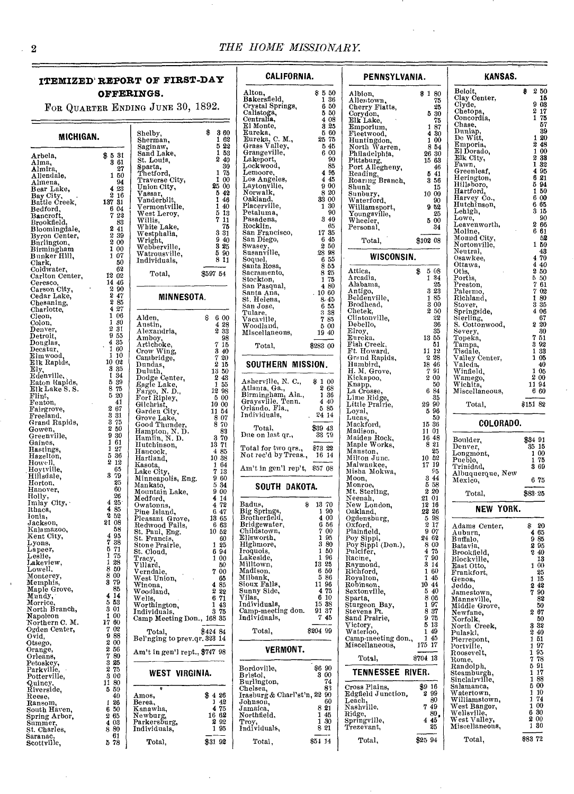# **ITEMIZED' REPORT OF FIRST-DAY OFFERIN**

FOR QUARTER ENDING

| MICHIGAN.                                     |                                | S.<br>s<br>S                  |
|-----------------------------------------------|--------------------------------|-------------------------------|
| Arbela,<br>Alma,                              | \$<br>31<br>5<br>3<br>61       | S<br>S                        |
| Almira,<br>Allendale,                         | 27<br>1<br>50                  | s<br>T<br>T                   |
| Almena,<br>Bear Lake,                         | 94<br>4<br>23                  | $\hat{\mathbb{U}}$            |
| Bay City,<br>Battle Creek,                    | 2<br>16<br>137<br>31           | v<br>V<br>V                   |
| Bedford                                       | 6<br>04<br>7<br>22             | ٧                             |
| Bancroft.<br>Brookfield                       | 83<br>2<br>41                  | ٧<br>Ŵ                        |
| Bloomingdale,<br>Byron Center,<br>Burlington, | 2<br>39<br>2<br>00             | Й<br>W                        |
| Birmingham<br>Bunker Hill,                    | 1<br>00<br>1<br>07             | ٧,<br>W                       |
| Clark,<br>Coldwater,                          | 50<br>62                       | Iı                            |
| Carlton Center,<br>Ceresco                    | 12<br>02<br>14<br>46           |                               |
| Ceresco,<br>Carson City,<br>Cedar Lake,       | 2<br>90<br>2<br>47             |                               |
| Chesaning,                                    | 2<br>85<br>4<br>27             |                               |
| Charlotte,<br>Cleon,                          | 1<br>06<br>1<br>30             | A                             |
| Colon,<br>Denver,<br>Detroit,                 | 2<br>31<br>9<br>55             | A<br>A                        |
| Donglas,<br>Decatur,                          | 4<br>35<br>1<br>60             | A<br>Ą                        |
| Elmwood,<br>Elk Rapids,                       | 1<br>10<br>10<br>02            | Ċ,<br>C.                      |
| Ely,<br>Edenville,                            | 3<br>35<br>1<br>34             | D<br>D                        |
| Eaton Rapids,<br>Elk Lake S. S.               | 5<br>39<br>8<br>75             | D<br>£,<br>$\mathbf{\bar{F}}$ |
| Flint,<br>$\text{Fenton},$                    | 5<br>20<br>41                  | г.                            |
| Fairgrove,<br>Freeland.                       | 2<br>67<br>3<br>31             | Gi<br>G                       |
| Grand Rapids,<br>Gowen,                       | $\frac{3}{2}$<br>75<br>50      | G)<br>G                       |
| Greenville,<br>Gaines,                        | 9<br>30<br>61                  | н.<br>H.                      |
| Hastings,<br>Hazelton,                        | $\frac{1}{1}$<br>27<br>5<br>36 | H<br>Η.                       |
| Howell<br>Hoytville,                          | 2<br>12<br>65                  | н<br>K                        |
| Hillsdale,<br>Horton,                         | 3<br>79<br>25                  | La<br>M<br>M.                 |
| Hanover,<br>Holly,                            | 60<br>26                       | M                             |
| City,<br>Imlay<br>Ithaca,                     | 4<br>$25 -$<br>4<br>85         | м<br>O۱<br>Pi:                |
| Ionia,<br>Jackson,                            | 2<br>52<br>21<br>08            | Pl.                           |
| Kalamazoo,<br>Kent City,                      | 58<br>4<br>95                  | $_{\rm Re}$<br>St.            |
| Lyons,<br>Lapeer,                             | 7<br>38<br>5<br>71             | St.<br>Sυ<br>St.              |
| Leslie,<br>Lakeview,                          | 75<br>1<br>1<br>28             | Ť.                            |
| Lowell,<br>Monterey,                          | 8<br>50<br>8<br>00             | уi<br>Ve                      |
| Memphis,<br>Maple Grove,                      | 3<br>79<br>85                  | W.<br>W<br>w,                 |
| Mundy,<br>Morrice                             | 4<br>14<br>5<br>53             | W<br>W١                       |
| North Branch,<br>Napoleor                     | 3<br>01<br>1<br>00             | In<br>υa                      |
| Northern C. M.<br>Ogden Center,               | 17<br>60<br>7<br>02            |                               |
| Ovid,<br>Otsego,                              | 9<br>88<br>$\frac{2}{2}$<br>00 | Вe                            |
| Orange,<br>Orleans,                           | 56<br>7<br>80                  | Αn                            |
| Petoskey,<br>Parkville                        | 3<br>25<br>2<br>75             |                               |
| Potterville,<br>Quincy.<br>Riverside,         | 3<br>00<br>11<br>80            |                               |
| Reese,                                        | 5<br>50<br>40                  | Αn                            |
| Ransom,<br>South Haven,                       | I<br>26<br>50<br>6             | Be<br>Κa                      |
| Spring Arbor,<br>í<br>Summer.                 | 2<br>65<br>4<br>03             | Ne<br>Pа                      |
| St. Charles,<br>Saranac                       | 80<br>8<br>61                  | In(                           |
| Scottville,                                   | 5<br>78                        |                               |
|                                               |                                |                               |

| INGS.<br>NG JUNE 30, 1892.                                                                                                                                                                                                                                                                                                                                    |                                                                                                                                                                                                                                          | A.<br>B<br>Ct<br>Cε                                                                                                                                      |
|---------------------------------------------------------------------------------------------------------------------------------------------------------------------------------------------------------------------------------------------------------------------------------------------------------------------------------------------------------------|------------------------------------------------------------------------------------------------------------------------------------------------------------------------------------------------------------------------------------------|----------------------------------------------------------------------------------------------------------------------------------------------------------|
| Shelby,<br>Sherman,<br>Saginaw,<br>Sand Lake,<br>St. Louis,<br>Sparta,<br>Thetford,<br>Traverse City,<br>Union City,<br>Vassar,<br>Vanderbilt,<br>Vermontville,<br>West Leroy,<br>Willis,<br>White Lake,<br>Westphalia,<br>Wright,<br>Webberville,<br>Watrousville,<br>Individuals,<br>Total,                                                                 | \$<br>360<br>62<br>1<br>22<br>5<br>1<br>53<br>2<br>40<br>30<br>1<br>75<br>1<br>00<br>25<br>00<br>42<br>5<br>1<br>46<br>1<br>40<br>5<br>13<br>7<br>11<br>75<br>3<br>31<br>9<br>40<br>3<br>25<br>5<br>90<br>8<br>11<br>\$597 54            | Ce<br>E)<br>E)<br>El<br>Ģı<br>Ģ۱<br>Lε<br>Ļ٢<br>Lε<br>Ţι<br>La<br>N<br>Оε<br>Pl.<br>Pε<br>Pa<br>Ro<br>Sa<br>Sa<br>Sч<br>Su<br>So<br>Sа<br>Sa<br>St<br>Sa |
| MINNESOTA.                                                                                                                                                                                                                                                                                                                                                    |                                                                                                                                                                                                                                          | Sa<br>St,<br>Sa                                                                                                                                          |
| Alden,<br>Austin,<br>Alexandria,<br>Amboy,<br>Artichoke,                                                                                                                                                                                                                                                                                                      | s<br>6<br>00<br>4<br>28<br>33<br>2<br>98<br>7<br>15                                                                                                                                                                                      | Tυ<br>Vs<br>W<br>Mi                                                                                                                                      |
| Crow Wing,<br>Cambridge,<br>Dundas,                                                                                                                                                                                                                                                                                                                           | 3<br>40<br>7<br>20<br>2<br>15                                                                                                                                                                                                            | S                                                                                                                                                        |
| Duluth,<br>Dodge Center,<br>Eagle Lake,<br>Fargo,<br>N.D.,<br>Fort Ripley,<br>Gilchrist,<br>Garden City,<br>Grove Lake,<br>Good Thunder,<br>Hampton, N. D.<br>Hamlin, N. D.<br>Hutchinson,<br>Hancock,<br>Hartland,<br>Kasota,<br>Lake City,                                                                                                                  | 13<br>50<br>2<br>43<br>1<br>55<br>12<br>98<br>00<br>5<br>10<br>00<br>11<br>54<br>8<br>07<br>8<br>70<br>83<br>3<br>70<br>13<br>71<br>4<br>85<br>10<br>38<br>64<br>1<br>7<br>13                                                            | As<br>At<br>Bi<br>Gr<br>Ori<br>In(<br>Du<br>Тo<br>No<br>An                                                                                               |
| Minneapolis, Eng.<br>Mankato,<br>Mountain Lake,<br>Medford,<br>Owatonna,<br>Pine Island,<br>Pleasant Grove,<br>Redwood Falls,<br>St. Paul, Eng.<br>St. Francis,<br>Stone Prairie,<br>St. Cloud,<br>U.,<br>Tracy,<br>Villard,<br>Verndale,<br>West Union,<br>Winona,<br>Woodland,<br><br>Wells,<br>wens,<br>Worthington,<br>Individuals,<br>Camp Meeting Don., | 9<br>60<br>5<br>34<br>9<br>00<br>4<br>14<br>72<br>4<br>6<br>47<br>13<br>65<br>6<br>63<br>10<br>52<br>60<br>1<br>25<br>6<br>94<br>1<br>$^{00}$<br>50<br>7<br>00<br>65<br>4<br>85<br>2<br>22<br>71<br>6<br>43<br>1<br>75<br>3<br>168<br>35 | Ba<br>Big<br>Bro<br>Bri<br>$_{\rm Chi}$<br>E11<br>Hig<br>Iro<br>Lal<br>Mil<br>Ma<br>Mil<br>Sio<br>Sur<br>Vil<br>Ind<br>Car<br>Ind                        |
| Total,<br>Bel'nging to prev.qr. 323                                                                                                                                                                                                                                                                                                                           | \$424<br>84<br>14                                                                                                                                                                                                                        |                                                                                                                                                          |
| Am't in gen'l rept., \$747                                                                                                                                                                                                                                                                                                                                    | 98                                                                                                                                                                                                                                       |                                                                                                                                                          |
| WEST<br>VIRGINIA.<br>è<br>Amos,<br>Berea,<br>Kanawha,<br>Newburg,<br>Parkersburg,                                                                                                                                                                                                                                                                             | $\overline{\mathbf{4}}$<br>26<br>\$<br>42<br>J<br>4<br>75<br>62<br>16<br>2<br>92                                                                                                                                                         | Boı<br>Bri<br>Bu<br>$_{\rm Ch}$<br>Iras<br>Job<br>Jan<br>Noi<br>$_{\mathrm{Trc}}$                                                                        |
| Individuals,<br>Total,                                                                                                                                                                                                                                                                                                                                        | 95<br>1<br>\$31<br>92                                                                                                                                                                                                                    | Ind                                                                                                                                                      |

| CALIFORNIA.                                                                                                                                                                                                                                                                                                                                                                                              |                                                                                                                                                                                                                                                                                        |
|----------------------------------------------------------------------------------------------------------------------------------------------------------------------------------------------------------------------------------------------------------------------------------------------------------------------------------------------------------------------------------------------------------|----------------------------------------------------------------------------------------------------------------------------------------------------------------------------------------------------------------------------------------------------------------------------------------|
| Alton,<br>Bakersfield,<br>Crystal Springs,<br>Calistoga,<br>Centrali <b>a,</b><br>El Monte,<br>Eureka,<br>C. M.,<br>Eureka, C. M<br>Grass Valley,<br>Grangeville,<br>Lakeport,<br>Lockwood,<br>Lemoore,<br>Los Angeles,<br>Laytonville,<br>Norwalk,<br>Oakland.<br>Placerville,<br>Petaluma,<br>Pasadena,<br>Rocklin,<br>San Francisco,<br>San Diego,<br>Swasey,<br>Susanville,<br>Soquel<br>Santa Rosa, | s<br>5<br>50<br>36<br>1<br>6<br>50<br>5<br>50<br>08<br>4<br>25<br>3<br>5<br>60<br>25<br>75<br>45<br>5<br>6<br>00<br>90<br>85<br>4<br>95<br>45<br>4<br>9<br>00<br>8<br>20<br>33<br>00<br>30<br>1<br>90<br>3<br>40<br>65<br>17<br>35<br>6<br>45<br>2<br>50<br>28<br>98<br>6<br>55<br>855 |
| Sacramento,<br>Stockton,<br>San Pasqual,<br>Santa Ana,<br>St. Helena,<br>San Jose,<br>Tulare<br>Vacaville<br>Woodland,<br>Miscellaneons,<br>Total,<br>SOUTHERN                                                                                                                                                                                                                                           | 25<br>8<br>75<br>1<br>4<br>-80<br>10 60<br>8. 45<br>6<br>55<br>3<br>38<br>7<br>85<br>5<br>00<br>19<br>40<br>\$283 00<br>MISSION.                                                                                                                                                       |
| Ashervino,<br>Atlanta, Ga.,<br>Birmingham, Ala.<br>Arraville, Tenn.<br>Ala.,<br>Orlando, Fla.,<br>Individuals,<br>Total,<br>Due on last qr.,<br>Total for two qrs.,<br>Not rec'd by Treas.,                                                                                                                                                                                                              | \$<br>1<br>00<br>2<br>68<br>1<br>36<br>4<br>40<br>5<br>85<br>24<br>14<br>\$39<br>43<br>33<br>79<br>\$73<br>22<br>16<br>14                                                                                                                                                              |
| Am't in gen'l rep't,<br>SOUTH<br>DAKOTA.                                                                                                                                                                                                                                                                                                                                                                 | \$57<br>08                                                                                                                                                                                                                                                                             |
| Badus,<br>8<br>Big Springs<br>Brotherfield<br>Bridgewater,<br>Childstown,<br>Ellsworth,<br>Highmore,<br>Iroquois,<br>Lakeside,<br>Milltown,<br>Madison,<br>Milbank,<br>Sioux Falls,<br>Sounny Side,<br>Vilas,<br>Vilas,<br>Individuals,<br>Camp-meeting don.<br>Individuals,                                                                                                                             | 13<br>70<br>90<br>1<br>4<br>$^{00}$<br>$\begin{smallmatrix} 6 & 7 & 1 \\ 7 & 1 & 3 \end{smallmatrix}$<br>56<br>00<br>95<br>80<br>1<br>50<br>1<br>96<br>13<br>25<br>6<br>50<br>5<br>86<br>11<br>96<br>4<br>75<br>6<br>10<br>15<br>38<br>37<br>91<br>7<br>45                             |
| Total,<br>VERMONT.                                                                                                                                                                                                                                                                                                                                                                                       | \$204<br>99                                                                                                                                                                                                                                                                            |
| Bordoville,<br>Bristol,<br>Burlington,<br>Chelsea,<br>Irasburg & Charl'st'n, 22<br>Johnson,<br>Jamaica.<br>Northfield,<br>Troy,<br>Individuals,<br>Total,                                                                                                                                                                                                                                                | \$6<br>90<br>3<br>00<br>74<br>83<br>90<br>60<br>8<br>21<br>1<br>45<br>1<br>30<br>8<br>21<br>\$51<br>14                                                                                                                                                                                 |

| PENNSYLVANIA.                                                                                                                                                                                                                                                                                                                                                                                                                                                                                                                                                                                                                                                                                                                                                                                                         |                                                                                                                                                                                                                                                                                                                                                                                                                                                                                                                                                                                                                                                                                                                    |  |  |  |
|-----------------------------------------------------------------------------------------------------------------------------------------------------------------------------------------------------------------------------------------------------------------------------------------------------------------------------------------------------------------------------------------------------------------------------------------------------------------------------------------------------------------------------------------------------------------------------------------------------------------------------------------------------------------------------------------------------------------------------------------------------------------------------------------------------------------------|--------------------------------------------------------------------------------------------------------------------------------------------------------------------------------------------------------------------------------------------------------------------------------------------------------------------------------------------------------------------------------------------------------------------------------------------------------------------------------------------------------------------------------------------------------------------------------------------------------------------------------------------------------------------------------------------------------------------|--|--|--|
| Albion,<br>Allentown,<br>Cherry Flatts,<br>Corydon,<br>Elk Lake,<br>Emporium,<br>Fleetwood,<br>Huntingdon,<br>Warren,<br>North<br>Philadelphia,<br>Pittsburg,<br>Port Allegheny,<br>Reading,<br>Roaring Branch,<br>Shunk<br>Sunbury,<br>Waterford.<br>Williamsport,<br>Youngsville,<br>$\mathrm{\bar{w}}$ heeler,<br>Personal,                                                                                                                                                                                                                                                                                                                                                                                                                                                                                        | \$<br>1<br>80<br>75<br>25<br>5<br>30<br>75<br>1<br>87<br>4<br>30<br>1<br>00<br>8<br>54<br>26<br>30<br>15<br>63<br>46<br>41<br>5<br>3<br>56<br>15<br>10<br>00<br>90<br>9<br>52<br>25<br>00<br>5<br>34                                                                                                                                                                                                                                                                                                                                                                                                                                                                                                               |  |  |  |
| Total,                                                                                                                                                                                                                                                                                                                                                                                                                                                                                                                                                                                                                                                                                                                                                                                                                | \$102<br>08                                                                                                                                                                                                                                                                                                                                                                                                                                                                                                                                                                                                                                                                                                        |  |  |  |
| WISCONSIN.                                                                                                                                                                                                                                                                                                                                                                                                                                                                                                                                                                                                                                                                                                                                                                                                            |                                                                                                                                                                                                                                                                                                                                                                                                                                                                                                                                                                                                                                                                                                                    |  |  |  |
| Attica<br>Arcadia<br>Alabama,<br>Antigo,<br>Beldenville,<br>Brodhead,<br>${\rm Check},$<br>Clintonville,<br>Debello,<br>Elroy,<br>Eureka,<br>Fish Creek,<br>Ft. Howard.<br>Grand Rapids,<br>Humbird,<br>H. M. Grove,<br>Kickapoo,<br>Knapp,<br>La Crosse,<br>Lime Ridge,<br>Little Prairie,<br>Loyal,<br>Lucas,<br>Mackford,<br>Madison<br>Maiden Rock,<br>Works,<br>Maple<br>Manston,<br>Milton June.<br>Malwaukee,<br>Misha Mokwa,<br>Moon,<br>Monroe,<br>Mt. Sterling,<br>Neenah,<br>New London,<br>Oakland,<br>Ogdensburg,<br>Oxford,<br>Plainfield,<br>Poy Sippi,<br>Poy Sippi (Don.),<br>Pulcifer,<br>Racine,<br>Raymond,<br>Richford,<br>Royalton,<br>Robinson<br>Sextonville,<br>Sparta,<br>Sturgeon<br>Bay,<br>Stevens Pt.<br>Sand Prairie,<br>Victory,<br>Waterloo,<br>Camp-meeting don.,<br>Miscellaneous, | \$<br>5<br>08<br>1<br>34<br>25<br>3<br>23<br>85<br>1<br>3<br>00<br>2<br>50<br>22<br>36<br>35<br>55<br>13<br>51<br>11<br>12<br>28<br>2<br>18<br>46<br>ì<br>91<br>2<br>00<br>50<br>6<br>84<br>35<br>29<br>90<br>96<br>5<br>50<br>15<br>36<br>11<br>01<br>16<br>48<br>í<br>8<br>21<br>$\frac{1}{2}$<br>25<br>10<br>52<br>17<br>19<br>95<br>3<br>44<br>5<br>58<br>2<br>20<br>21<br>01<br>12<br>16<br>22<br>26<br>98<br>5<br>2<br>17<br>07<br>9<br>24<br>62<br>8<br>00<br>75<br>4<br>7<br>90<br>J<br>3<br>14<br>60<br>1<br>I<br>45<br>ı<br>$\mathbf \epsilon$<br>10<br>44<br>ì<br>5<br>40<br>י בין בין בין דין<br>8<br>05<br>97<br>1<br>37<br>8<br>75<br>9<br>5<br>13<br>1<br>49<br>I<br>45<br>1<br>l<br>I<br>175<br>17 |  |  |  |
| Total,                                                                                                                                                                                                                                                                                                                                                                                                                                                                                                                                                                                                                                                                                                                                                                                                                | 8704<br>13                                                                                                                                                                                                                                                                                                                                                                                                                                                                                                                                                                                                                                                                                                         |  |  |  |
| <b>TENNESSEE</b>                                                                                                                                                                                                                                                                                                                                                                                                                                                                                                                                                                                                                                                                                                                                                                                                      | RIVER.                                                                                                                                                                                                                                                                                                                                                                                                                                                                                                                                                                                                                                                                                                             |  |  |  |
| Cross Plains,<br>Edgfield Junction,<br>Leach,<br>Nashville.<br>Ridge,<br>Springville,<br>Trezevant,<br>Total,                                                                                                                                                                                                                                                                                                                                                                                                                                                                                                                                                                                                                                                                                                         | エココミクショート<br>\$9<br>16<br>2<br>99<br>80<br>7<br>49<br>80,<br>4<br>45<br>I<br>25<br>\$25<br>94                                                                                                                                                                                                                                                                                                                                                                                                                                                                                                                                                                                                                      |  |  |  |

| KANSAS.                                                                                                                                                                                                                                                                                                                                                                                                                                                                                                                                                                                                                       |                                                                                                                                                                                                                                                                                                                                                                                                                                                                                                     |
|-------------------------------------------------------------------------------------------------------------------------------------------------------------------------------------------------------------------------------------------------------------------------------------------------------------------------------------------------------------------------------------------------------------------------------------------------------------------------------------------------------------------------------------------------------------------------------------------------------------------------------|-----------------------------------------------------------------------------------------------------------------------------------------------------------------------------------------------------------------------------------------------------------------------------------------------------------------------------------------------------------------------------------------------------------------------------------------------------------------------------------------------------|
| Beloit,<br>Clay Center,<br>Clyde,<br>Chetopa,<br>Concordia,<br>Chase,<br>Dunlap<br>${\rm De~Witt},$<br>Emporia,<br>El Dorado,<br>Elk City,<br>Fawn,<br>Greenleaf,<br>Herington,<br>Hillsboro,<br>Hartford,<br>Harvey Co.,<br>Hutchinson,<br>I<br>ehigh,<br>Lowe,<br>Leavenworth,<br>Moline,<br>Monnd City,<br>Nortonville,<br>Neutral,<br>Osawkee,<br>Ottawa,<br>Otis,<br>Portis,<br>Preston,<br>Palermo,<br>Richland,<br>Stover,<br>Springside,<br>Sierling,<br>S. Cottonwood,<br>Severy,<br>Topeka,<br>Tampa,<br>Tisdale,<br>.<br>Valley Center,<br>Valeda,<br>Winfield,<br>Wamego,<br>Wichita,<br>Miscellaneous,<br>Total, | \$<br>2<br>50<br>15<br>9<br>03<br>17<br>2<br>1<br>75<br>57<br>39<br>1<br>20<br>2<br>48<br>1<br>00<br>2<br>33<br>32<br>ı<br>4<br>95<br>21<br>6<br>õ<br>94<br>1<br>50<br>6<br>00<br>6<br>65<br>3<br>15<br>90<br>2<br>66<br>6<br>61<br>52<br>1<br>50<br>43<br>4<br>70<br>4<br>40<br>2<br>50<br>5<br>50<br>7<br>61<br>7<br>$_{02}$<br>1<br>80<br>3<br>35<br>4<br>06<br>67<br>2<br>20<br>30<br>7<br>51<br>3<br>92<br>1<br>33<br>1<br>05<br>40<br>1<br>05<br>2<br>00<br>11<br>94<br>6<br>60<br>8151<br>82 |
| COLORADO.<br>Boulder,<br>Denver,<br>Longmont,<br>Pueblo,<br>Trinidad,<br>Albuquerque, New<br>Mexico,                                                                                                                                                                                                                                                                                                                                                                                                                                                                                                                          | \$34<br>91<br>35<br>15<br>1<br>00<br>1<br>75<br>3<br>69<br>6<br>75                                                                                                                                                                                                                                                                                                                                                                                                                                  |
| Total,                                                                                                                                                                                                                                                                                                                                                                                                                                                                                                                                                                                                                        | \$83-25                                                                                                                                                                                                                                                                                                                                                                                                                                                                                             |
| NEW<br>YORK.                                                                                                                                                                                                                                                                                                                                                                                                                                                                                                                                                                                                                  |                                                                                                                                                                                                                                                                                                                                                                                                                                                                                                     |
| Adams Center,<br>Auburn,<br>Buffalo,<br>Batavia,<br>Brookfield,<br>Blockville,<br>East Otto,<br>Frankfort,<br>Genoa,<br>Jeddo,<br>Jamestown,<br>Mars<br>Mannsville,<br>Middle Grove,<br>Newfane,<br>Norfolk,<br>North Creek,<br>rvitni<br>Pulaski,<br>Pierrepont,<br>Portville,<br>Roosevelt,<br>Rome,<br>Randolph,<br>Steamburgh,<br>Sinclairville,<br>Salamanca,<br>Watertown,<br>Williamstown,<br>West Bangor,<br>.<br>West Valley,<br>West Valley,                                                                                                                                                                        | \$<br>20<br>4<br>65<br><b>922</b><br>85<br>95<br>40<br>13<br>1<br>00<br>25<br>15<br>1<br>42<br>2<br>7<br>90<br>82<br>50<br>2<br>67<br>50<br>3<br>32<br>2<br>40<br>1<br>51<br>97<br>1<br>1<br>95<br>7<br>78<br>5<br>91<br>17<br>1<br>88<br>1<br>5<br>$\boldsymbol{00}$<br>10<br>1<br>74<br>1<br>1<br>00                                                                                                                                                                                              |
| Miscellaneous,<br>Total,                                                                                                                                                                                                                                                                                                                                                                                                                                                                                                                                                                                                      | 30<br>6<br>2<br>00<br>1<br>30<br>\$83<br>72                                                                                                                                                                                                                                                                                                                                                                                                                                                         |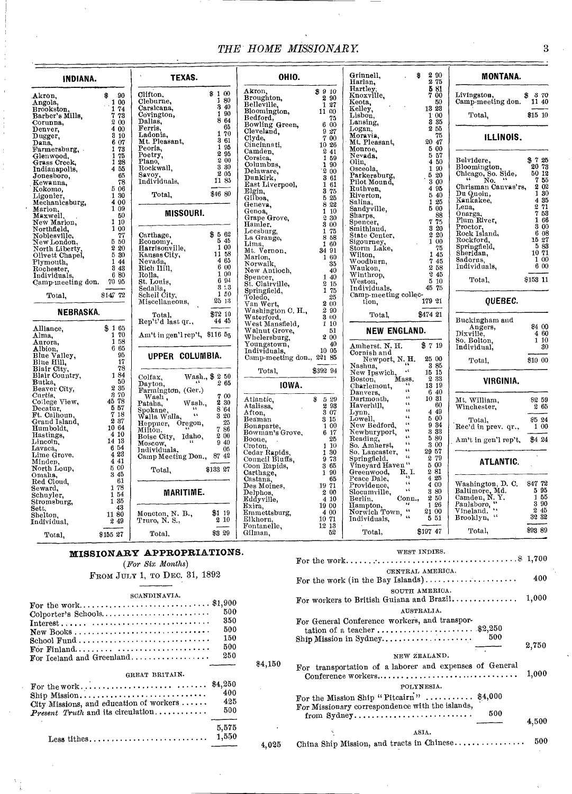# *THE HOME MISSIONARY* 3

| INDIANA.                      |                | TEXAS.                                              |                        | OHIO.                     |                        | Grinnell,<br>Harlan,                                     | 2 90<br>8<br>2 75                                        |
|-------------------------------|----------------|-----------------------------------------------------|------------------------|---------------------------|------------------------|----------------------------------------------------------|----------------------------------------------------------|
|                               |                |                                                     | \$100                  | Akron,                    | \$910                  | Hartley.                                                 | 581                                                      |
| Akron.                        | $-90$<br>\$    | Clifton.<br>Cleburne,                               | 180                    | Broughton,                | 2 9 0                  | Knoxville.                                               | 7 00<br>50                                               |
| Angola,                       | 100<br>1 74    | Carsicana,                                          | 3 40                   | Belleville,               | 127                    | Keota.<br>Kelley,                                        | 13 23                                                    |
| Brookston,<br>Barber's Mills. | 7 73           | Covington,                                          | 1 90                   | Bloomington,              | 11 00                  | Lisbon.                                                  | 100                                                      |
| Corunna,                      | 2 00           | Dallas,                                             | 8 64                   | Bedford,                  | 75                     | Lansing,                                                 | 3 35                                                     |
| Denver.                       | 4 00           | Ferris.                                             | 65                     | Bowling Green.            | 600                    | Logan.                                                   | 255                                                      |
| Dugger.                       | 310            | Ladonia,                                            | 170                    | Cleveland.<br>Clyde.      | 9,27<br>700            | Moravia.                                                 | 75                                                       |
| Dana.                         | 6 07           | Mt. Pleasant,                                       | 3 61                   | Cincinnati,               | 10 26                  | Mt. Pleasant,                                            | 20 47                                                    |
| Farmersburg, .                | 178            | Peoria.                                             | 1 95                   | Camden.                   | 241                    | Monroe.                                                  | 5 00                                                     |
| Glenwood,                     | 1 75           | Poetry,                                             | 2 95                   | Corsica.                  | 1 59                   | Nevada.                                                  | 5 57                                                     |
| Grass Creek,                  | 1 28           | Plano,                                              | 200                    | Columbus.                 | 1 90                   | Olin,                                                    | 4 50                                                     |
| Indianapolis,                 | 4 55           | Rockwall,                                           | 3 30<br>2 05           | Delaware,                 | 200                    | Osceola,                                                 | 1 90                                                     |
| Jonesboro,                    | 65             | Savoy,                                              | 11 85                  | Dunkirk,                  | 3 61                   | Parkersburg,                                             | 5 20                                                     |
| Kewanna.                      | 78             | Individuals,                                        |                        | East Liverpool,           | 1 61                   | Pilot Mound,                                             | 3 00                                                     |
| Kokomo.                       | 5 06           | Total,                                              | \$46 80                | Elgin.                    | 3 75                   | Ruthven,                                                 | 4 95<br>5 40                                             |
| Ligonier,                     | 1 30<br>4 00   |                                                     |                        | Gilboa.                   | 5 25                   | Riverton,<br>Salina.                                     | 1 25                                                     |
| Mechanicsburg,                | 1 09           |                                                     |                        | Geneva,                   | 8 22                   | Sandyville,                                              | 5 00                                                     |
| Marion,<br>Maxwell,           | 50             | <b>MISSOURI.</b>                                    |                        | Genoa,<br>Grape Grove,    | 110                    | Sharps.                                                  | 88                                                       |
| New Marion,                   | 110            |                                                     |                        |                           | 2 30                   | Spencer,                                                 | 7 75                                                     |
| Northfield,                   | 100            |                                                     |                        | Hamler,                   | 3 00<br>1 75           | Smithland,                                               | 3 20                                                     |
| Noblesville,                  | 77             | Carthage,                                           | \$562                  | Leesburg,<br>La Grange,   | 8 58                   | State Center,                                            | 220                                                      |
| New London,                   | 5 50           | Economy,                                            | 5 45                   | Lima,                     | 1 60                   | Sigourney,                                               | 1 00                                                     |
| North Liberty,                | 2 20           | Harrisonville,                                      | 1 00                   | Mt. Vernon,               | 34 91                  | Storm Lake.                                              | $\begin{array}{c} 75 \\ 145 \end{array}$                 |
| Olivett Chapel,               | 5 30           | Kansas City,                                        | 11 58                  | Marion,                   | 1 60                   | Wilton.                                                  |                                                          |
| Plymouth,                     | 1 4 4          | Nevada,                                             | 4 65<br>6 00           | Norwalk.                  | 35                     | Woodburn,                                                | 745<br>258                                               |
| Rochester,                    | 3 4 3          | Rich IIill.                                         | 1 00                   | New Antioch.              | 40                     | Waukon,                                                  | 245                                                      |
| Individuals.                  | 680            | Rolla,                                              | 694                    | Spencer.                  | 1 40                   | Winthrop,<br>Weston,                                     | 510                                                      |
| Camp-meeting don. 70 95       |                | St. Louis,                                          | 8:3                    | St. Clairville,           | 2 15                   | Individuals,                                             | 45 75                                                    |
| Total,                        | \$147 72       | Sedalia,<br>Schell City,                            | 1 50                   | Springfield,              | 1 75                   | Camp-meeting collec-                                     |                                                          |
|                               |                | Miscellaneous,                                      | 2513                   | Toledo,<br>Van Wert,      | 25<br>2 00             | tion.                                                    | 179 21                                                   |
|                               |                |                                                     |                        | Washington C. H.,         | 2 90                   |                                                          |                                                          |
| <b>NEBRASKA.</b>              |                | Total,                                              | \$72 10                | Waterford,                | 3 00                   | Total.                                                   | \$474 21                                                 |
|                               |                | Rep't'd last qr.,                                   | 44 45                  | West Mansfield,           | 1 10                   |                                                          |                                                          |
| Alliance,                     | \$165          |                                                     |                        | Walnut Grove,             | 51                     | NEW ENGLAND.                                             |                                                          |
| Alma.                         | 1 70           | Am't in gen'l rep't, \$116 55                       |                        | Whelersburg,              | 200                    |                                                          |                                                          |
| Aurora,                       | 1 58           |                                                     |                        | Youngstown,               | 40                     | Amherst, N. H.                                           | \$719                                                    |
| Albion,                       | 6 65<br>95     |                                                     |                        | Individuals,              | 10 05                  | Cornish and                                              |                                                          |
| Blue Valley,<br>Blue Hill,    | 17             | UPPER COLUMBIA.                                     |                        | Camp-meeting don., 221 85 |                        | Newport, N.H.                                            | 25 00                                                    |
| Blair City,                   | 78             |                                                     |                        |                           |                        | Nashua,                                                  | 385                                                      |
| Blair Country,                | 184            |                                                     |                        | Total.                    | \$392 94               | $\mathcal{A}$<br>New Ipswich,<br>Boston, Mass.           | 15 15                                                    |
| Butka.                        | 50             | Colfax.<br>- 66<br>Dayton.                          | Wash., \$ 2 50<br>2 65 |                           |                        | Boston,<br>w                                             | 233                                                      |
| Beaver City,                  | 2 35           | Farmington, (Ger.)                                  |                        | IOWA.                     |                        | Charlemont,<br>$\mathbf{G}$                              | 13 19                                                    |
| Curtis,                       | 870            | Wash,                                               | 7 00                   |                           |                        | Danvers,<br>¢¢.                                          | 6 40<br>1031                                             |
| College View,                 | 45 78          | Wash.,<br>Pataha.                                   | 2 30                   | Atlantic,<br>Atalissa,    | 8529                   | Dartmonth,<br>$\mathbf{G}$                               | 60                                                       |
| Decatur.                      | 557            | $-1.5$                                              | 8.64                   |                           | 2 9 3<br>3 07          | Haverhill,<br>$\alpha$                                   | 4 49                                                     |
| Ft. Calhoun,                  | 718            | Spokane,<br>Walla Walla,<br>$\mathbf{A} \mathbf{A}$ | 3 20                   | Afton,<br>Beaman          | 3 15                   | Lynn,<br>Lowell,<br>$\epsilon$                           | 500                                                      |
| Grand Island,                 | 237            | Heppner, Oregon,                                    | 25                     | Bonaparte,                | 1 0 0                  | $\epsilon$ 6<br>New Bedford,                             | 9 34                                                     |
| Hum boldt,                    | 10 64<br>4 10  | Milton.                                             | $7\,86$                | Bowman's Grove,           | 6 17                   | $\mathbf{G}$<br>Newburyport,                             | 3 33                                                     |
| Hastings,<br>Lincoln.         | 14 13          | Boise City, Idaho,                                  | 2 00                   | Boone.                    | 25                     | $\epsilon$ (<br>Reading,                                 | 580                                                      |
| Lavaca,                       | 6 54           | Moscow.                                             | 9 40<br>05             | Croton.                   | 110                    | $\Omega_{\rm{L}}$<br>So. Amherst,                        | 3 00                                                     |
| Lime Grove.                   | 4 23           | Individuals.                                        |                        | Cedar Rapids.             | 1 30                   | $\bar{\mathbf{t}}$<br>So. Lancaster,<br>$\mathfrak{c}_k$ | 29 57                                                    |
| Minden,                       | 4 41           | Camp Meeting Don., 87 42                            |                        | Council Bluffs,           | 973                    | Springfield,                                             | $\begin{smallmatrix} 2 & 79 \\ 5 & 00 \end{smallmatrix}$ |
| North Loup,                   | 5 00           | Total,                                              | \$133 27               | Coon Rapids,              | 3 65                   | Vineyard Haven"                                          |                                                          |
| Omaha,                        | 3 45           |                                                     |                        | Carthage,                 | 1 90                   | $\mathbf{R}_{i}$ I.<br>Greenwood,                        | 281<br>4 25                                              |
| Red Cloud,                    | 61             |                                                     |                        | Castana.                  | 65                     | Peace Dale,<br>$\mathbf{G}$                              | 4 00                                                     |
| Seward.                       | 178            | MARITIME.                                           |                        | Des Moines,               | 19 71<br>$\tilde{2}00$ | Providence,<br>$\pm 4$<br>Slocumville,                   | 3 80                                                     |
| Schuyler.                     | 1 54           |                                                     |                        | Delphos.<br>Eddyville,    | 410                    | Berlin.<br>Conn.,                                        | 250                                                      |
| Stromsburg,                   | 1 35           |                                                     |                        | Exira,                    | 1900                   | Hampton,                                                 | 1 26                                                     |
| Sett.                         | 43             |                                                     | \$1 19                 | Emmettsburg,              | 4 00                   | Norwich Town, "                                          | 2100                                                     |
| Shelton.                      | 11 80<br>2 4 9 | Moncton, N. B.,<br>Truro, N. S.,                    | 210                    | Elkhorn,                  | 10 71                  | Individuals,                                             | 5 51                                                     |
| Individual.                   |                |                                                     |                        | Fontanelle,               | 12 13                  |                                                          |                                                          |
| Total,                        | \$155 27       | Total,                                              | \$3 29                 | Gilman,                   | 52                     | Total,                                                   | \$197 47                                                 |
|                               |                | <b>MISSIONARY APPROPRIATIONS.</b>                   |                        |                           |                        |                                                          | WEST INDIES.                                             |

# *(For Six Months)*

# FROM JULY 1, TO DEC. 31, 1892

#### SCANDINAVIA.

| For the work\$1,900                                                                            |       |
|------------------------------------------------------------------------------------------------|-------|
| Colporter's Schools                                                                            | 500   |
| $Interest \dots \dots \dots \dots \dots \dots \dots \dots \dots \dots \dots \dots \dots \dots$ | 350   |
| New Books                                                                                      | 500   |
|                                                                                                | 150   |
| For Finland                                                                                    | 500   |
| For Iceland and Greenland                                                                      | 250   |
| GREAT BRITAIN.                                                                                 |       |
| Ship Mission                                                                                   | 400   |
| City Missions, and education of workers                                                        | 425   |
|                                                                                                |       |
| $Present\; Truth$ and its circulation                                                          | 500   |
|                                                                                                | 5,575 |

 $\ddot{i}$ 

|           | WEST INDIES.                                                                                |       |
|-----------|---------------------------------------------------------------------------------------------|-------|
|           |                                                                                             |       |
|           | CENTRAL AMERICA.<br>For the work (in the Bay Islands)                                       | 400   |
|           | SOUTH AMERICA.<br>For workers to British Guiana and Brazil                                  | 1,000 |
|           | AUSTRALIA.                                                                                  |       |
|           | For General Conference workers, and transpor-                                               |       |
|           | 500                                                                                         | 2,750 |
|           | NEW ZEALAND.                                                                                |       |
| $\$4,150$ | For transportation of a laborer and expenses of General<br>Conference workers               | 1,000 |
|           | POLYNESIA.                                                                                  |       |
|           | For the Mission Ship "Pitcairn"  \$4,000<br>For Missionary correspondence with the islands, |       |
|           | 500<br>from Sydney                                                                          | 4,500 |
|           | ASIA.                                                                                       |       |
| 4,025     | China Ship Mission, and tracts in Chinese                                                   | 500   |

| ILLINOIS.                                                                                                                                                                                                                                           |                                                                                       |                                                                                                |
|-----------------------------------------------------------------------------------------------------------------------------------------------------------------------------------------------------------------------------------------------------|---------------------------------------------------------------------------------------|------------------------------------------------------------------------------------------------|
| Belvidere.<br>Bloomington,<br>Side,<br>Chicago, So.<br>Chrisman Canvas'rs,<br>Du Quoin,<br>Kankakee.<br>Lena,<br>Onarga.<br>Plum River,<br>$_{\rm{Proctor.}}$<br>Rock Island,<br>Rockford.<br>Springfield,<br>Sheridan,<br>Sadorus.<br>Individuals, | \$7<br>20<br>50<br>7<br>2<br>1<br>4<br>2<br>7<br>1<br>3<br>15<br>5<br>10 71<br>1<br>6 | 25<br>73<br>12<br>55<br>02<br>30<br>35<br>71<br>53<br>66<br>00<br>6 08<br>27<br>83<br>00<br>00 |
| Total.                                                                                                                                                                                                                                              | \$153                                                                                 | 11                                                                                             |
| OUEBEC.                                                                                                                                                                                                                                             |                                                                                       |                                                                                                |
| Buckingham and<br>Angers,<br>Dixvillĕ,<br>So, Bolton,<br>Individual.<br>Total,                                                                                                                                                                      | 84<br>4<br>1<br>\$10 00                                                               | 00<br>60<br>10<br>30                                                                           |
| VIRGINIA.                                                                                                                                                                                                                                           |                                                                                       |                                                                                                |
| Mt. William.<br>Winchester,                                                                                                                                                                                                                         | S2<br>2                                                                               | 59<br>65                                                                                       |
| Total,<br>Rec'd in prev. qr.,                                                                                                                                                                                                                       | \$5<br>1                                                                              | 24<br>00                                                                                       |
| Am't in gen'l rep't,                                                                                                                                                                                                                                | \$4                                                                                   | 24                                                                                             |
| ATLANTIC.                                                                                                                                                                                                                                           |                                                                                       |                                                                                                |
| Washington, D.<br>О.<br>Мd.<br>Baltimore,<br>Camden, N.<br>Υ.<br>Paulsboro,<br>Vineland.<br>١ś<br>Brooklyn,                                                                                                                                         | 847<br>5<br>1<br>3<br>2<br>32                                                         | 72<br>95<br>55<br>90<br>45<br>32                                                               |

Total, \$93 89

**MONTANA.** 

Livingston, \$ *s* 70 Camp-meeting don. 11 40 Total, \$15 10